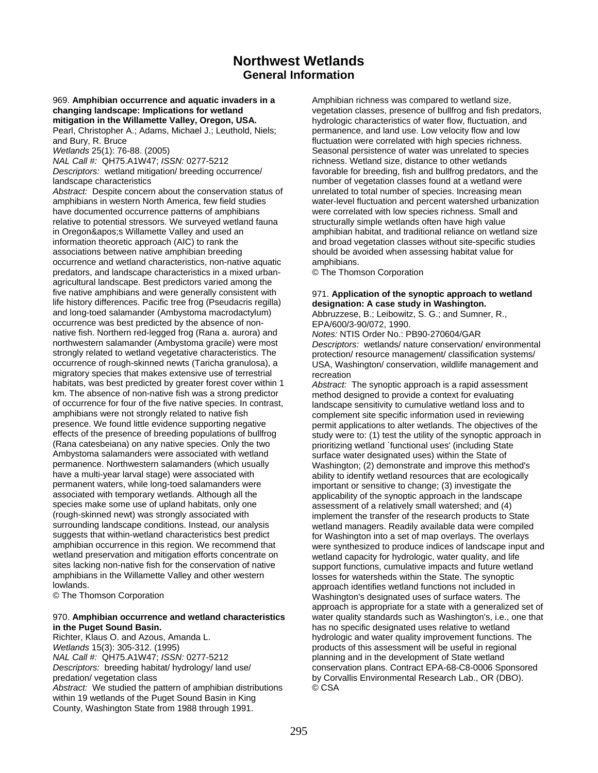# **Northwest Wetlands General Information**

# 969. **Amphibian occurrence and aquatic invaders in a changing landscape: Implications for wetland**

**mitigation in the Willamette Valley, Oregon, USA.**  Pearl, Christopher A.; Adams, Michael J.; Leuthold, Niels; and Bury, R. Bruce

*Wetlands* 25(1): 76-88. (2005)

*NAL Call #:* QH75.A1W47; *ISSN:* 0277-5212

*Descriptors:* wetland mitigation/ breeding occurrence/ landscape characteristics

*Abstract:* Despite concern about the conservation status of amphibians in western North America, few field studies have documented occurrence patterns of amphibians relative to potential stressors. We surveyed wetland fauna in Oregon's Willamette Valley and used an information theoretic approach (AIC) to rank the associations between native amphibian breeding occurrence and wetland characteristics, non-native aquatic predators, and landscape characteristics in a mixed urbanagricultural landscape. Best predictors varied among the five native amphibians and were generally consistent with life history differences. Pacific tree frog (Pseudacris regilla) and long-toed salamander (Ambystoma macrodactylum) occurrence was best predicted by the absence of nonnative fish. Northern red-legged frog (Rana a. aurora) and northwestern salamander (Ambystoma gracile) were most strongly related to wetland vegetative characteristics. The occurrence of rough-skinned newts (Taricha granulosa), a migratory species that makes extensive use of terrestrial habitats, was best predicted by greater forest cover within 1 km. The absence of non-native fish was a strong predictor of occurrence for four of the five native species. In contrast, amphibians were not strongly related to native fish presence. We found little evidence supporting negative effects of the presence of breeding populations of bullfrog (Rana catesbeiana) on any native species. Only the two Ambystoma salamanders were associated with wetland permanence. Northwestern salamanders (which usually have a multi-year larval stage) were associated with permanent waters, while long-toed salamanders were associated with temporary wetlands. Although all the species make some use of upland habitats, only one (rough-skinned newt) was strongly associated with surrounding landscape conditions. Instead, our analysis suggests that within-wetland characteristics best predict amphibian occurrence in this region. We recommend that wetland preservation and mitigation efforts concentrate on sites lacking non-native fish for the conservation of native amphibians in the Willamette Valley and other western lowlands.

© The Thomson Corporation

# 970. **Amphibian occurrence and wetland characteristics in the Puget Sound Basin.**

Richter, Klaus O. and Azous, Amanda L. *Wetlands* 15(3): 305-312. (1995) *NAL Call #:* QH75.A1W47; *ISSN:* 0277-5212 *Descriptors:* breeding habitat/ hydrology/ land use/ predation/ vegetation class *Abstract:* We studied the pattern of amphibian distributions within 19 wetlands of the Puget Sound Basin in King County, Washington State from 1988 through 1991.

Amphibian richness was compared to wetland size, vegetation classes, presence of bullfrog and fish predators, hydrologic characteristics of water flow, fluctuation, and permanence, and land use. Low velocity flow and low fluctuation were correlated with high species richness. Seasonal persistence of water was unrelated to species richness. Wetland size, distance to other wetlands favorable for breeding, fish and bullfrog predators, and the number of vegetation classes found at a wetland were unrelated to total number of species. Increasing mean water-level fluctuation and percent watershed urbanization were correlated with low species richness. Small and structurally simple wetlands often have high value amphibian habitat, and traditional reliance on wetland size and broad vegetation classes without site-specific studies should be avoided when assessing habitat value for amphibians.

© The Thomson Corporation

# 971. **Application of the synoptic approach to wetland designation: A case study in Washington.**

Abbruzzese, B.; Leibowitz, S. G.; and Sumner, R., EPA/600/3-90/072, 1990.

*Notes:* NTIS Order No.: PB90-270604/GAR *Descriptors:* wetlands/ nature conservation/ environmental protection/ resource management/ classification systems/ USA, Washington/ conservation, wildlife management and recreation

*Abstract:* The synoptic approach is a rapid assessment method designed to provide a context for evaluating landscape sensitivity to cumulative wetland loss and to complement site specific information used in reviewing permit applications to alter wetlands. The objectives of the study were to: (1) test the utility of the synoptic approach in prioritizing wetland `functional uses' (including State surface water designated uses) within the State of Washington; (2) demonstrate and improve this method's ability to identify wetland resources that are ecologically important or sensitive to change; (3) investigate the applicability of the synoptic approach in the landscape assessment of a relatively small watershed; and (4) implement the transfer of the research products to State wetland managers. Readily available data were compiled for Washington into a set of map overlays. The overlays were synthesized to produce indices of landscape input and wetland capacity for hydrologic, water quality, and life support functions, cumulative impacts and future wetland losses for watersheds within the State. The synoptic approach identifies wetland functions not included in Washington's designated uses of surface waters. The approach is appropriate for a state with a generalized set of water quality standards such as Washington's, i.e., one that has no specific designated uses relative to wetland hydrologic and water quality improvement functions. The products of this assessment will be useful in regional planning and in the development of State wetland conservation plans. Contract EPA-68-C8-0006 Sponsored by Corvallis Environmental Research Lab., OR (DBO). © CSA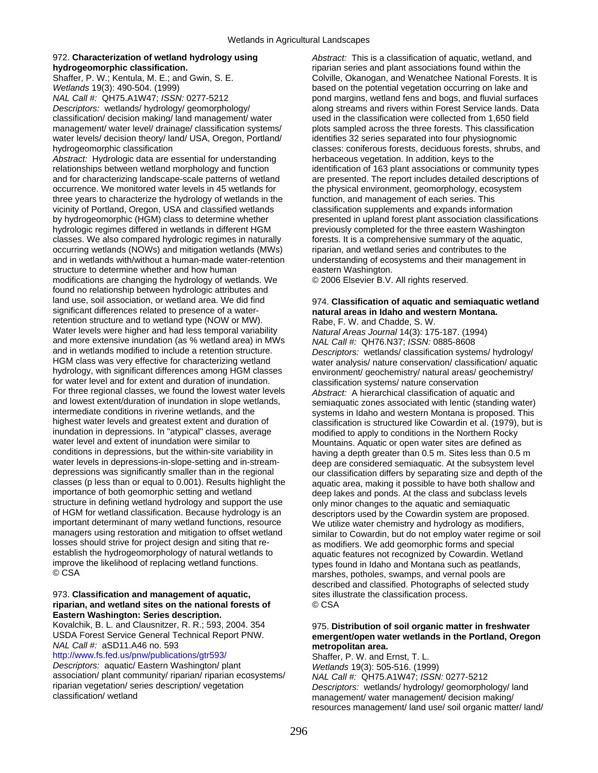## 972. **Characterization of wetland hydrology using hydrogeomorphic classification.**

Shaffer, P. W.; Kentula, M. E.; and Gwin, S. E. *Wetlands* 19(3): 490-504. (1999)

*NAL Call #:* QH75.A1W47; *ISSN:* 0277-5212 *Descriptors:* wetlands/ hydrology/ geomorphology/ classification/ decision making/ land management/ water management/ water level/ drainage/ classification systems/ water levels/ decision theory/ land/ USA, Oregon, Portland/ hydrogeomorphic classification

*Abstract:* Hydrologic data are essential for understanding relationships between wetland morphology and function and for characterizing landscape-scale patterns of wetland occurrence. We monitored water levels in 45 wetlands for three years to characterize the hydrology of wetlands in the vicinity of Portland, Oregon, USA and classified wetlands by hydrogeomorphic (HGM) class to determine whether hydrologic regimes differed in wetlands in different HGM classes. We also compared hydrologic regimes in naturally occurring wetlands (NOWs) and mitigation wetlands (MWs) and in wetlands with/without a human-made water-retention structure to determine whether and how human modifications are changing the hydrology of wetlands. We found no relationship between hydrologic attributes and land use, soil association, or wetland area. We did find significant differences related to presence of a waterretention structure and to wetland type (NOW or MW). Water levels were higher and had less temporal variability and more extensive inundation (as % wetland area) in MWs and in wetlands modified to include a retention structure. HGM class was very effective for characterizing wetland hydrology, with significant differences among HGM classes for water level and for extent and duration of inundation. For three regional classes, we found the lowest water levels and lowest extent/duration of inundation in slope wetlands, intermediate conditions in riverine wetlands, and the highest water levels and greatest extent and duration of inundation in depressions. In "atypical" classes, average water level and extent of inundation were similar to conditions in depressions, but the within-site variability in water levels in depressions-in-slope-setting and in-streamdepressions was significantly smaller than in the regional classes (p less than or equal to 0.001). Results highlight the importance of both geomorphic setting and wetland structure in defining wetland hydrology and support the use of HGM for wetland classification. Because hydrology is an important determinant of many wetland functions, resource managers using restoration and mitigation to offset wetland losses should strive for project design and siting that reestablish the hydrogeomorphology of natural wetlands to improve the likelihood of replacing wetland functions. © CSA

#### 973. **Classification and management of aquatic, riparian, and wetland sites on the national forests of Eastern Washington: Series description.**

Kovalchik, B. L. and Clausnitzer, R. R.; 593, 2004. 354 USDA Forest Service General Technical Report PNW. *NAL Call #:* aSD11.A46 no. 593

[http://www.fs.fed.us/pnw/publications/gtr593/](http://www.fs.fed.us/pnw/publications/gtr593) *Descriptors:* aquatic/ Eastern Washington/ plant association/ plant community/ riparian/ riparian ecosystems/ riparian vegetation/ series description/ vegetation classification/ wetland

*Abstract:* This is a classification of aquatic, wetland, and riparian series and plant associations found within the Colville, Okanogan, and Wenatchee National Forests. It is based on the potential vegetation occurring on lake and pond margins, wetland fens and bogs, and fluvial surfaces along streams and rivers within Forest Service lands. Data used in the classification were collected from 1,650 field plots sampled across the three forests. This classification identifies 32 series separated into four physiognomic classes: coniferous forests, deciduous forests, shrubs, and herbaceous vegetation. In addition, keys to the identification of 163 plant associations or community types are presented. The report includes detailed descriptions of the physical environment, geomorphology, ecosystem function, and management of each series. This classification supplements and expands information presented in upland forest plant association classifications previously completed for the three eastern Washington forests. It is a comprehensive summary of the aquatic, riparian, and wetland series and contributes to the understanding of ecosystems and their management in eastern Washington.

© 2006 Elsevier B.V. All rights reserved.

#### 974. **Classification of aquatic and semiaquatic wetland natural areas in Idaho and western Montana.**  Rabe, F. W. and Chadde, S. W.

*Natural Areas Journal* 14(3): 175-187. (1994) *NAL Call #:* QH76.N37; *ISSN:* 0885-8608 *Descriptors:* wetlands/ classification systems/ hydrology/ water analysis/ nature conservation/ classification/ aquatic environment/ geochemistry/ natural areas/ geochemistry/ classification systems/ nature conservation *Abstract:* A hierarchical classification of aquatic and semiaquatic zones associated with lentic (standing water) systems in Idaho and western Montana is proposed. This classification is structured like Cowardin et al. (1979), but is modified to apply to conditions in the Northern Rocky Mountains. Aquatic or open water sites are defined as having a depth greater than 0.5 m. Sites less than 0.5 m deep are considered semiaquatic. At the subsystem level our classification differs by separating size and depth of the aquatic area, making it possible to have both shallow and deep lakes and ponds. At the class and subclass levels only minor changes to the aquatic and semiaquatic descriptors used by the Cowardin system are proposed. We utilize water chemistry and hydrology as modifiers, similar to Cowardin, but do not employ water regime or soil as modifiers. We add geomorphic forms and special aquatic features not recognized by Cowardin. Wetland types found in Idaho and Montana such as peatlands, marshes, potholes, swamps, and vernal pools are described and classified. Photographs of selected study sites illustrate the classification process. © CSA

# 975. **Distribution of soil organic matter in freshwater emergent/open water wetlands in the Portland, Oregon metropolitan area.**

Shaffer, P. W. and Ernst, T. L. *Wetlands* 19(3): 505-516. (1999) *NAL Call #:* QH75.A1W47; *ISSN:* 0277-5212 *Descriptors:* wetlands/ hydrology/ geomorphology/ land management/ water management/ decision making/ resources management/ land use/ soil organic matter/ land/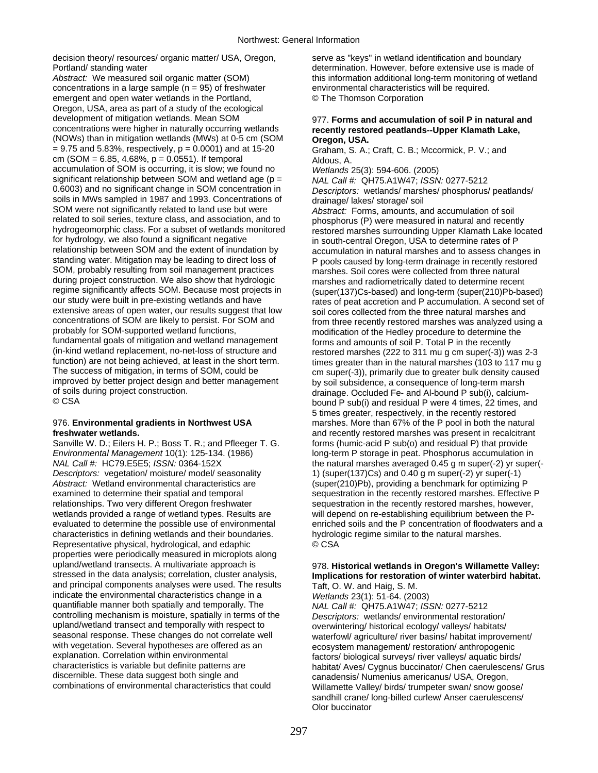decision theory/ resources/ organic matter/ USA, Oregon, Portland/ standing water

*Abstract:* We measured soil organic matter (SOM) concentrations in a large sample  $(n = 95)$  of freshwater emergent and open water wetlands in the Portland, Oregon, USA, area as part of a study of the ecological development of mitigation wetlands. Mean SOM concentrations were higher in naturally occurring wetlands (NOWs) than in mitigation wetlands (MWs) at 0-5 cm (SOM  $= 9.75$  and 5.83%, respectively,  $p = 0.0001$ ) and at 15-20 cm (SOM =  $6.85$ , 4.68%,  $p = 0.0551$ ). If temporal accumulation of SOM is occurring, it is slow; we found no significant relationship between SOM and wetland age ( $p =$ 0.6003) and no significant change in SOM concentration in soils in MWs sampled in 1987 and 1993. Concentrations of SOM were not significantly related to land use but were related to soil series, texture class, and association, and to hydrogeomorphic class. For a subset of wetlands monitored for hydrology, we also found a significant negative relationship between SOM and the extent of inundation by standing water. Mitigation may be leading to direct loss of SOM, probably resulting from soil management practices during project construction. We also show that hydrologic regime significantly affects SOM. Because most projects in our study were built in pre-existing wetlands and have extensive areas of open water, our results suggest that low concentrations of SOM are likely to persist. For SOM and probably for SOM-supported wetland functions, fundamental goals of mitigation and wetland management (in-kind wetland replacement, no-net-loss of structure and function) are not being achieved, at least in the short term. The success of mitigation, in terms of SOM, could be improved by better project design and better management of soils during project construction. © CSA

# 976. **Environmental gradients in Northwest USA freshwater wetlands.**

Sanville W. D.; Eilers H. P.; Boss T. R.; and Pfleeger T. G. *Environmental Management* 10(1): 125-134. (1986) *NAL Call #:* HC79.E5E5; *ISSN:* 0364-152X *Descriptors:* vegetation/ moisture/ model/ seasonality *Abstract:* Wetland environmental characteristics are examined to determine their spatial and temporal relationships. Two very different Oregon freshwater wetlands provided a range of wetland types. Results are evaluated to determine the possible use of environmental characteristics in defining wetlands and their boundaries. Representative physical, hydrological, and edaphic properties were periodically measured in microplots along upland/wetland transects. A multivariate approach is stressed in the data analysis; correlation, cluster analysis, and principal components analyses were used. The results indicate the environmental characteristics change in a quantifiable manner both spatially and temporally. The controlling mechanism is moisture, spatially in terms of the upland/wetland transect and temporally with respect to seasonal response. These changes do not correlate well with vegetation. Several hypotheses are offered as an explanation. Correlation within environmental characteristics is variable but definite patterns are discernible. These data suggest both single and combinations of environmental characteristics that could

serve as "keys" in wetland identification and boundary determination. However, before extensive use is made of this information additional long-term monitoring of wetland environmental characteristics will be required. © The Thomson Corporation

## 977. **Forms and accumulation of soil P in natural and recently restored peatlands--Upper Klamath Lake, Oregon, USA.**

Graham, S. A.; Craft, C. B.; Mccormick, P. V.; and Aldous, A.

*Wetlands* 25(3): 594-606. (2005) *NAL Call #:* QH75.A1W47; *ISSN:* 0277-5212 *Descriptors:* wetlands/ marshes/ phosphorus/ peatlands/ drainage/ lakes/ storage/ soil *Abstract:* Forms, amounts, and accumulation of soil

phosphorus (P) were measured in natural and recently restored marshes surrounding Upper Klamath Lake located in south-central Oregon, USA to determine rates of P accumulation in natural marshes and to assess changes in P pools caused by long-term drainage in recently restored marshes. Soil cores were collected from three natural marshes and radiometrically dated to determine recent (super(137)Cs-based) and long-term (super(210)Pb-based) rates of peat accretion and P accumulation. A second set of soil cores collected from the three natural marshes and from three recently restored marshes was analyzed using a modification of the Hedley procedure to determine the forms and amounts of soil P. Total P in the recently restored marshes (222 to 311 mu g cm super(-3)) was 2-3 times greater than in the natural marshes (103 to 117 mu g cm super(-3)), primarily due to greater bulk density caused by soil subsidence, a consequence of long-term marsh drainage. Occluded Fe- and Al-bound P sub(i), calciumbound P sub(i) and residual P were 4 times, 22 times, and 5 times greater, respectively, in the recently restored marshes. More than 67% of the P pool in both the natural and recently restored marshes was present in recalcitrant forms (humic-acid P sub(o) and residual P) that provide long-term P storage in peat. Phosphorus accumulation in the natural marshes averaged 0.45 g m super(-2) yr super(- 1) (super(137)Cs) and 0.40 g m super(-2) yr super(-1) (super(210)Pb), providing a benchmark for optimizing P sequestration in the recently restored marshes. Effective P sequestration in the recently restored marshes, however, will depend on re-establishing equilibrium between the Penriched soils and the P concentration of floodwaters and a hydrologic regime similar to the natural marshes. © CSA

# 978. **Historical wetlands in Oregon's Willamette Valley: Implications for restoration of winter waterbird habitat.**

Taft, O. W. and Haig, S. M. *Wetlands* 23(1): 51-64. (2003) *NAL Call #:* QH75.A1W47; *ISSN:* 0277-5212 *Descriptors:* wetlands/ environmental restoration/ overwintering/ historical ecology/ valleys/ habitats/ waterfowl/ agriculture/ river basins/ habitat improvement/ ecosystem management/ restoration/ anthropogenic factors/ biological surveys/ river valleys/ aquatic birds/ habitat/ Aves/ Cygnus buccinator/ Chen caerulescens/ Grus canadensis/ Numenius americanus/ USA, Oregon, Willamette Valley/ birds/ trumpeter swan/ snow goose/

sandhill crane/ long-billed curlew/ Anser caerulescens/

Olor buccinator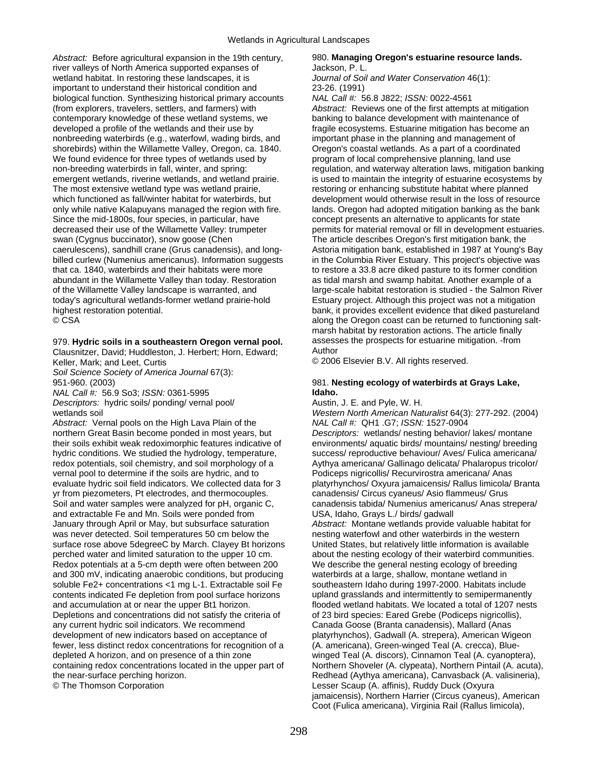*Abstract:* Before agricultural expansion in the 19th century, river valleys of North America supported expanses of wetland habitat. In restoring these landscapes, it is important to understand their historical condition and biological function. Synthesizing historical primary accounts (from explorers, travelers, settlers, and farmers) with contemporary knowledge of these wetland systems, we developed a profile of the wetlands and their use by nonbreeding waterbirds (e.g., waterfowl, wading birds, and shorebirds) within the Willamette Valley, Oregon, ca. 1840. We found evidence for three types of wetlands used by non-breeding waterbirds in fall, winter, and spring: emergent wetlands, riverine wetlands, and wetland prairie. The most extensive wetland type was wetland prairie, which functioned as fall/winter habitat for waterbirds, but only while native Kalapuyans managed the region with fire. Since the mid-1800s, four species, in particular, have decreased their use of the Willamette Valley: trumpeter swan (Cygnus buccinator), snow goose (Chen caerulescens), sandhill crane (Grus canadensis), and longbilled curlew (Numenius americanus). Information suggests that ca. 1840, waterbirds and their habitats were more abundant in the Willamette Valley than today. Restoration of the Willamette Valley landscape is warranted, and today's agricultural wetlands-former wetland prairie-hold highest restoration potential. © CSA

979. **Hydric soils in a southeastern Oregon vernal pool.** 

Clausnitzer, David; Huddleston, J. Herbert; Horn, Edward; Keller, Mark; and Leet, Curtis

*Soil Science Society of America Journal* 67(3): 951-960. (2003)

*NAL Call #:* 56.9 So3; *ISSN:* 0361-5995 *Descriptors:* hydric soils/ ponding/ vernal pool/ wetlands soil

*Abstract:* Vernal pools on the High Lava Plain of the northern Great Basin become ponded in most years, but their soils exhibit weak redoximorphic features indicative of hydric conditions. We studied the hydrology, temperature, redox potentials, soil chemistry, and soil morphology of a vernal pool to determine if the soils are hydric, and to evaluate hydric soil field indicators. We collected data for 3 yr from piezometers, Pt electrodes, and thermocouples. Soil and water samples were analyzed for pH, organic C, and extractable Fe and Mn. Soils were ponded from January through April or May, but subsurface saturation was never detected. Soil temperatures 50 cm below the surface rose above 5degreeC by March. Clayey Bt horizons perched water and limited saturation to the upper 10 cm. Redox potentials at a 5-cm depth were often between 200 and 300 mV, indicating anaerobic conditions, but producing soluble Fe2+ concentrations <1 mg L-1. Extractable soil Fe contents indicated Fe depletion from pool surface horizons and accumulation at or near the upper Bt1 horizon. Depletions and concentrations did not satisfy the criteria of any current hydric soil indicators. We recommend development of new indicators based on acceptance of fewer, less distinct redox concentrations for recognition of a depleted A horizon, and on presence of a thin zone containing redox concentrations located in the upper part of the near-surface perching horizon. © The Thomson Corporation

### 980. **Managing Oregon's estuarine resource lands.**  Jackson, P. L.

*Journal of Soil and Water Conservation* 46(1): 23-26. (1991)

*NAL Call #:* 56.8 J822; *ISSN:* 0022-4561 *Abstract:* Reviews one of the first attempts at mitigation banking to balance development with maintenance of fragile ecosystems. Estuarine mitigation has become an important phase in the planning and management of Oregon's coastal wetlands. As a part of a coordinated program of local comprehensive planning, land use regulation, and waterway alteration laws, mitigation banking is used to maintain the integrity of estuarine ecosystems by restoring or enhancing substitute habitat where planned development would otherwise result in the loss of resource lands. Oregon had adopted mitigation banking as the bank concept presents an alternative to applicants for state permits for material removal or fill in development estuaries. The article describes Oregon's first mitigation bank, the Astoria mitigation bank, established in 1987 at Young's Bay in the Columbia River Estuary. This project's objective was to restore a 33.8 acre diked pasture to its former condition as tidal marsh and swamp habitat. Another example of a large-scale habitat restoration is studied - the Salmon River Estuary project. Although this project was not a mitigation bank, it provides excellent evidence that diked pastureland along the Oregon coast can be returned to functioning saltmarsh habitat by restoration actions. The article finally assesses the prospects for estuarine mitigation. -from Author

© 2006 Elsevier B.V. All rights reserved.

# 981. **Nesting ecology of waterbirds at Grays Lake, Idaho.**

Austin, J. E. and Pyle, W. H. *Western North American Naturalist* 64(3): 277-292. (2004) *NAL Call #:* QH1 .G7; *ISSN:* 1527-0904 *Descriptors:* wetlands/ nesting behavior/ lakes/ montane environments/ aquatic birds/ mountains/ nesting/ breeding success/ reproductive behaviour/ Aves/ Fulica americana/ Aythya americana/ Gallinago delicata/ Phalaropus tricolor/ Podiceps nigricollis/ Recurvirostra americana/ Anas platyrhynchos/ Oxyura jamaicensis/ Rallus limicola/ Branta canadensis/ Circus cyaneus/ Asio flammeus/ Grus canadensis tabida/ Numenius americanus/ Anas strepera/ USA, Idaho, Grays L./ birds/ gadwall *Abstract:* Montane wetlands provide valuable habitat for nesting waterfowl and other waterbirds in the western United States, but relatively little information is available about the nesting ecology of their waterbird communities. We describe the general nesting ecology of breeding waterbirds at a large, shallow, montane wetland in southeastern Idaho during 1997-2000. Habitats include upland grasslands and intermittently to semipermanently flooded wetland habitats. We located a total of 1207 nests of 23 bird species: Eared Grebe (Podiceps nigricollis), Canada Goose (Branta canadensis), Mallard (Anas platyrhynchos), Gadwall (A. strepera), American Wigeon (A. americana), Green-winged Teal (A. crecca), Bluewinged Teal (A. discors), Cinnamon Teal (A. cyanoptera), Northern Shoveler (A. clypeata), Northern Pintail (A. acuta), Redhead (Aythya americana), Canvasback (A. valisineria), Lesser Scaup (A. affinis), Ruddy Duck (Oxyura jamaicensis), Northern Harrier (Circus cyaneus), American Coot (Fulica americana), Virginia Rail (Rallus limicola),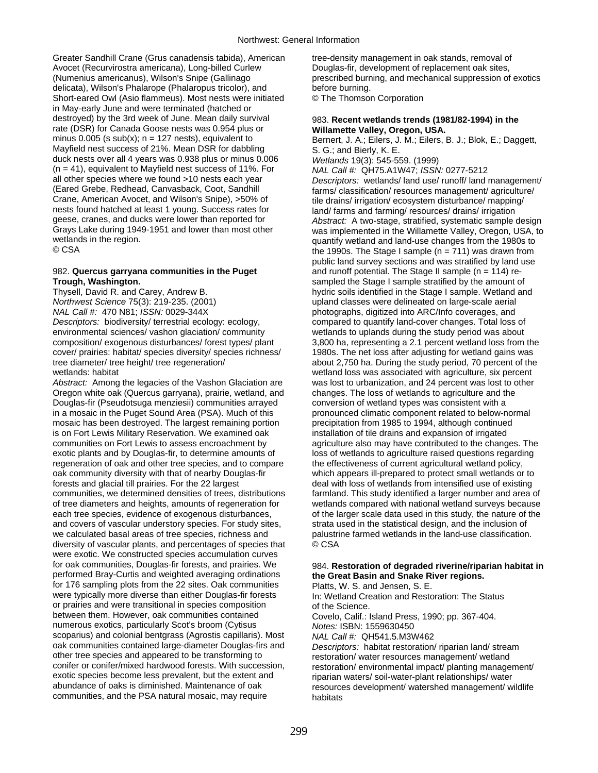Greater Sandhill Crane (Grus canadensis tabida), American Avocet (Recurvirostra americana), Long-billed Curlew (Numenius americanus), Wilson's Snipe (Gallinago delicata), Wilson's Phalarope (Phalaropus tricolor), and Short-eared Owl (Asio flammeus). Most nests were initiated in May-early June and were terminated (hatched or destroyed) by the 3rd week of June. Mean daily survival rate (DSR) for Canada Goose nests was 0.954 plus or minus  $0.005$  (s sub(x);  $n = 127$  nests), equivalent to Mayfield nest success of 21%. Mean DSR for dabbling duck nests over all 4 years was 0.938 plus or minus 0.006 (n = 41), equivalent to Mayfield nest success of 11%. For all other species where we found >10 nests each year (Eared Grebe, Redhead, Canvasback, Coot, Sandhill Crane, American Avocet, and Wilson's Snipe), >50% of nests found hatched at least 1 young. Success rates for geese, cranes, and ducks were lower than reported for Grays Lake during 1949-1951 and lower than most other wetlands in the region. © CSA

# 982. **Quercus garryana communities in the Puget Trough, Washington.**

Thysell, David R. and Carey, Andrew B. *Northwest Science* 75(3): 219-235. (2001) *NAL Call #:* 470 N81; *ISSN:* 0029-344X *Descriptors:* biodiversity/ terrestrial ecology: ecology, environmental sciences/ vashon glaciation/ community composition/ exogenous disturbances/ forest types/ plant cover/ prairies: habitat/ species diversity/ species richness/ tree diameter/ tree height/ tree regeneration/ wetlands: habitat

*Abstract:* Among the legacies of the Vashon Glaciation are Oregon white oak (Quercus garryana), prairie, wetland, and Douglas-fir (Pseudotsuga menziesii) communities arrayed in a mosaic in the Puget Sound Area (PSA). Much of this mosaic has been destroyed. The largest remaining portion is on Fort Lewis Military Reservation. We examined oak communities on Fort Lewis to assess encroachment by exotic plants and by Douglas-fir, to determine amounts of regeneration of oak and other tree species, and to compare oak community diversity with that of nearby Douglas-fir forests and glacial till prairies. For the 22 largest communities, we determined densities of trees, distributions of tree diameters and heights, amounts of regeneration for each tree species, evidence of exogenous disturbances, and covers of vascular understory species. For study sites, we calculated basal areas of tree species, richness and diversity of vascular plants, and percentages of species that were exotic. We constructed species accumulation curves for oak communities, Douglas-fir forests, and prairies. We performed Bray-Curtis and weighted averaging ordinations for 176 sampling plots from the 22 sites. Oak communities were typically more diverse than either Douglas-fir forests or prairies and were transitional in species composition between them. However, oak communities contained numerous exotics, particularly Scot's broom (Cytisus scoparius) and colonial bentgrass (Agrostis capillaris). Most oak communities contained large-diameter Douglas-firs and other tree species and appeared to be transforming to conifer or conifer/mixed hardwood forests. With succession, exotic species become less prevalent, but the extent and abundance of oaks is diminished. Maintenance of oak communities, and the PSA natural mosaic, may require

tree-density management in oak stands, removal of Douglas-fir, development of replacement oak sites, prescribed burning, and mechanical suppression of exotics before burning. © The Thomson Corporation

# 983. **Recent wetlands trends (1981/82-1994) in the Willamette Valley, Oregon, USA.**

Bernert, J. A.; Eilers, J. M.; Eilers, B. J.; Blok, E.; Daggett, S. G.; and Bierly, K. E. *Wetlands* 19(3): 545-559. (1999)

*NAL Call #:* QH75.A1W47; *ISSN:* 0277-5212 *Descriptors:* wetlands/ land use/ runoff/ land management/ farms/ classification/ resources management/ agriculture/ tile drains/ irrigation/ ecosystem disturbance/ mapping/ land/ farms and farming/ resources/ drains/ irrigation *Abstract:* A two-stage, stratified, systematic sample design was implemented in the Willamette Valley, Oregon, USA, to quantify wetland and land-use changes from the 1980s to the 1990s. The Stage I sample ( $n = 711$ ) was drawn from public land survey sections and was stratified by land use and runoff potential. The Stage II sample ( $n = 114$ ) resampled the Stage I sample stratified by the amount of hydric soils identified in the Stage I sample. Wetland and upland classes were delineated on large-scale aerial photographs, digitized into ARC/Info coverages, and compared to quantify land-cover changes. Total loss of wetlands to uplands during the study period was about 3,800 ha, representing a 2.1 percent wetland loss from the 1980s. The net loss after adjusting for wetland gains was about 2,750 ha. During the study period, 70 percent of the wetland loss was associated with agriculture, six percent was lost to urbanization, and 24 percent was lost to other changes. The loss of wetlands to agriculture and the conversion of wetland types was consistent with a pronounced climatic component related to below-normal precipitation from 1985 to 1994, although continued installation of tile drains and expansion of irrigated agriculture also may have contributed to the changes. The loss of wetlands to agriculture raised questions regarding the effectiveness of current agricultural wetland policy, which appears ill-prepared to protect small wetlands or to deal with loss of wetlands from intensified use of existing farmland. This study identified a larger number and area of wetlands compared with national wetland surveys because of the larger scale data used in this study, the nature of the strata used in the statistical design, and the inclusion of palustrine farmed wetlands in the land-use classification. © CSA

# 984. **Restoration of degraded riverine/riparian habitat in the Great Basin and Snake River regions.**

Platts, W. S. and Jensen, S. E. In: Wetland Creation and Restoration: The Status of the Science. Covelo, Calif.: Island Press, 1990; pp. 367-404. *Notes:* ISBN: 1559630450 *NAL Call #:* QH541.5.M3W462

*Descriptors:* habitat restoration/ riparian land/ stream restoration/ water resources management/ wetland restoration/ environmental impact/ planting management/ riparian waters/ soil-water-plant relationships/ water resources development/ watershed management/ wildlife habitats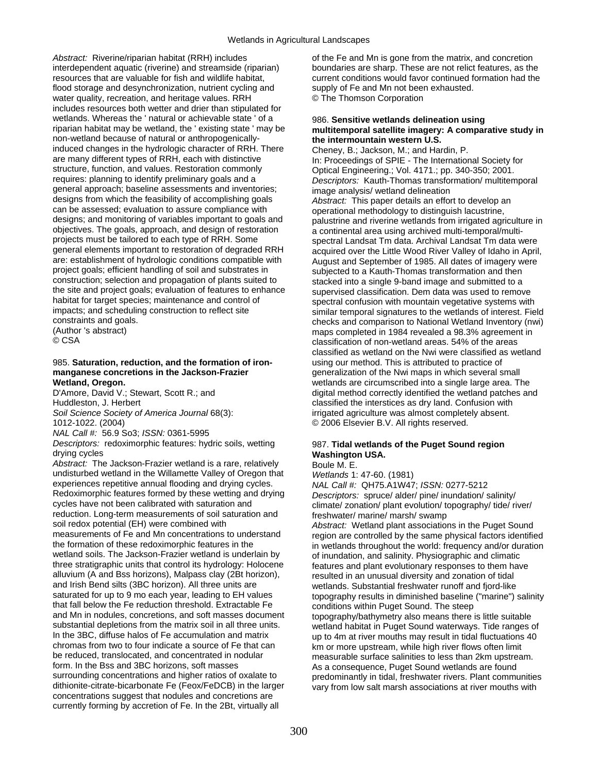*Abstract:* Riverine/riparian habitat (RRH) includes interdependent aquatic (riverine) and streamside (riparian) resources that are valuable for fish and wildlife habitat, flood storage and desynchronization, nutrient cycling and water quality, recreation, and heritage values. RRH includes resources both wetter and drier than stipulated for wetlands. Whereas the ' natural or achievable state ' of a riparian habitat may be wetland, the ' existing state ' may be non-wetland because of natural or anthropogenicallyinduced changes in the hydrologic character of RRH. There are many different types of RRH, each with distinctive structure, function, and values. Restoration commonly requires: planning to identify preliminary goals and a general approach; baseline assessments and inventories; designs from which the feasibility of accomplishing goals can be assessed; evaluation to assure compliance with designs; and monitoring of variables important to goals and objectives. The goals, approach, and design of restoration projects must be tailored to each type of RRH. Some general elements important to restoration of degraded RRH are: establishment of hydrologic conditions compatible with project goals; efficient handling of soil and substrates in construction; selection and propagation of plants suited to the site and project goals; evaluation of features to enhance habitat for target species; maintenance and control of impacts; and scheduling construction to reflect site constraints and goals.

(Author 's abstract) © CSA

#### 985. **Saturation, reduction, and the formation of ironmanganese concretions in the Jackson-Frazier Wetland, Oregon.**

D'Amore, David V.; Stewart, Scott R.; and Huddleston, J. Herbert

*Soil Science Society of America Journal* 68(3): 1012-1022. (2004)

*NAL Call #:* 56.9 So3; *ISSN:* 0361-5995

*Descriptors:* redoximorphic features: hydric soils, wetting drying cycles

*Abstract:* The Jackson-Frazier wetland is a rare, relatively undisturbed wetland in the Willamette Valley of Oregon that experiences repetitive annual flooding and drying cycles. Redoximorphic features formed by these wetting and drying cycles have not been calibrated with saturation and reduction. Long-term measurements of soil saturation and soil redox potential (EH) were combined with measurements of Fe and Mn concentrations to understand the formation of these redoximorphic features in the wetland soils. The Jackson-Frazier wetland is underlain by three stratigraphic units that control its hydrology: Holocene alluvium (A and Bss horizons), Malpass clay (2Bt horizon), and Irish Bend silts (3BC horizon). All three units are saturated for up to 9 mo each year, leading to EH values that fall below the Fe reduction threshold. Extractable Fe and Mn in nodules, concretions, and soft masses document substantial depletions from the matrix soil in all three units. In the 3BC, diffuse halos of Fe accumulation and matrix chromas from two to four indicate a source of Fe that can be reduced, translocated, and concentrated in nodular form. In the Bss and 3BC horizons, soft masses surrounding concentrations and higher ratios of oxalate to dithionite-citrate-bicarbonate Fe (Feox/FeDCB) in the larger concentrations suggest that nodules and concretions are currently forming by accretion of Fe. In the 2Bt, virtually all

of the Fe and Mn is gone from the matrix, and concretion boundaries are sharp. These are not relict features, as the current conditions would favor continued formation had the supply of Fe and Mn not been exhausted. © The Thomson Corporation

## 986. **Sensitive wetlands delineation using multitemporal satellite imagery: A comparative study in the intermountain western U.S.**

Cheney, B.; Jackson, M.; and Hardin, P. In: Proceedings of SPIE - The International Society for Optical Engineering.; Vol. 4171.; pp. 340-350; 2001. *Descriptors:* Kauth-Thomas transformation/ multitemporal image analysis/ wetland delineation *Abstract:* This paper details an effort to develop an operational methodology to distinguish lacustrine, palustrine and riverine wetlands from irrigated agriculture in a continental area using archived multi-temporal/multispectral Landsat Tm data. Archival Landsat Tm data were acquired over the Little Wood River Valley of Idaho in April, August and September of 1985. All dates of imagery were subjected to a Kauth-Thomas transformation and then stacked into a single 9-band image and submitted to a supervised classification. Dem data was used to remove spectral confusion with mountain vegetative systems with similar temporal signatures to the wetlands of interest. Field checks and comparison to National Wetland Inventory (nwi) maps completed in 1984 revealed a 98.3% agreement in classification of non-wetland areas. 54% of the areas classified as wetland on the Nwi were classified as wetland using our method. This is attributed to practice of generalization of the Nwi maps in which several small wetlands are circumscribed into a single large area. The digital method correctly identified the wetland patches and classified the interstices as dry land. Confusion with irrigated agriculture was almost completely absent. © 2006 Elsevier B.V. All rights reserved.

# 987. **Tidal wetlands of the Puget Sound region Washington USA.**

Boule M. E.

*Wetlands* 1: 47-60. (1981) *NAL Call #:* QH75.A1W47; *ISSN:* 0277-5212 *Descriptors:* spruce/ alder/ pine/ inundation/ salinity/ climate/ zonation/ plant evolution/ topography/ tide/ river/ freshwater/ marine/ marsh/ swamp *Abstract:* Wetland plant associations in the Puget Sound region are controlled by the same physical factors identified in wetlands throughout the world: frequency and/or duration of inundation, and salinity. Physiographic and climatic features and plant evolutionary responses to them have resulted in an unusual diversity and zonation of tidal wetlands. Substantial freshwater runoff and fjord-like topography results in diminished baseline ("marine") salinity conditions within Puget Sound. The steep topography/bathymetry also means there is little suitable wetland habitat in Puget Sound waterways. Tide ranges of up to 4m at river mouths may result in tidal fluctuations 40 km or more upstream, while high river flows often limit measurable surface salinities to less than 2km upstream. As a consequence, Puget Sound wetlands are found predominantly in tidal, freshwater rivers. Plant communities vary from low salt marsh associations at river mouths with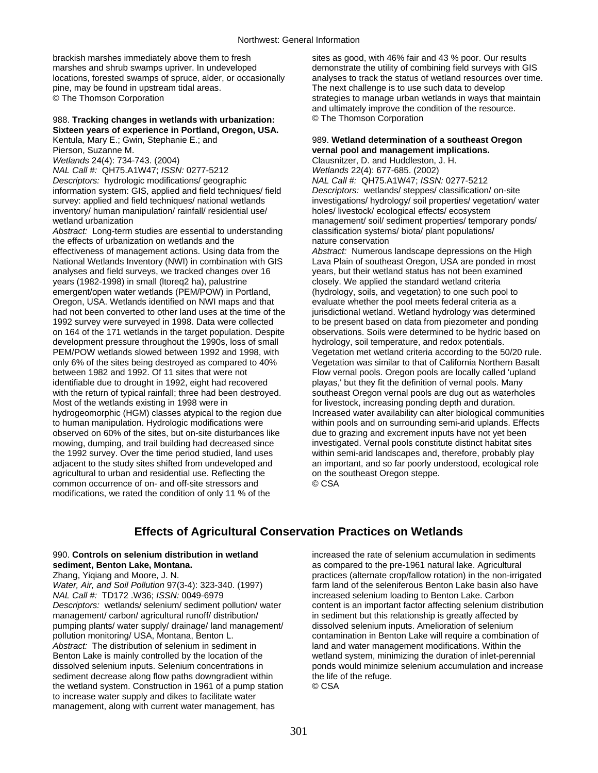brackish marshes immediately above them to fresh marshes and shrub swamps upriver. In undeveloped locations, forested swamps of spruce, alder, or occasionally pine, may be found in upstream tidal areas. © The Thomson Corporation

# 988. **Tracking changes in wetlands with urbanization: Sixteen years of experience in Portland, Oregon, USA.**

Kentula, Mary E.; Gwin, Stephanie E.; and Pierson, Suzanne M. *Wetlands* 24(4): 734-743. (2004)

*NAL Call #:* QH75.A1W47; *ISSN:* 0277-5212 *Descriptors:* hydrologic modifications/ geographic information system: GIS, applied and field techniques/ field survey: applied and field techniques/ national wetlands inventory/ human manipulation/ rainfall/ residential use/ wetland urbanization

*Abstract:* Long-term studies are essential to understanding the effects of urbanization on wetlands and the effectiveness of management actions. Using data from the National Wetlands Inventory (NWI) in combination with GIS analyses and field surveys, we tracked changes over 16 years (1982-1998) in small (ltoreq2 ha), palustrine emergent/open water wetlands (PEM/POW) in Portland, Oregon, USA. Wetlands identified on NWI maps and that had not been converted to other land uses at the time of the 1992 survey were surveyed in 1998. Data were collected on 164 of the 171 wetlands in the target population. Despite development pressure throughout the 1990s, loss of small PEM/POW wetlands slowed between 1992 and 1998, with only 6% of the sites being destroyed as compared to 40% between 1982 and 1992. Of 11 sites that were not identifiable due to drought in 1992, eight had recovered with the return of typical rainfall; three had been destroyed. Most of the wetlands existing in 1998 were in hydrogeomorphic (HGM) classes atypical to the region due to human manipulation. Hydrologic modifications were observed on 60% of the sites, but on-site disturbances like mowing, dumping, and trail building had decreased since the 1992 survey. Over the time period studied, land uses adjacent to the study sites shifted from undeveloped and agricultural to urban and residential use. Reflecting the common occurrence of on- and off-site stressors and modifications, we rated the condition of only 11 % of the

sites as good, with 46% fair and 43 % poor. Our results demonstrate the utility of combining field surveys with GIS analyses to track the status of wetland resources over time. The next challenge is to use such data to develop strategies to manage urban wetlands in ways that maintain and ultimately improve the condition of the resource. © The Thomson Corporation

## 989. **Wetland determination of a southeast Oregon vernal pool and management implications.**

Clausnitzer, D. and Huddleston, J. H. *Wetlands* 22(4): 677-685. (2002) *NAL Call #:* QH75.A1W47; *ISSN:* 0277-5212 *Descriptors:* wetlands/ steppes/ classification/ on-site investigations/ hydrology/ soil properties/ vegetation/ water holes/ livestock/ ecological effects/ ecosystem management/ soil/ sediment properties/ temporary ponds/ classification systems/ biota/ plant populations/ nature conservation

*Abstract:* Numerous landscape depressions on the High Lava Plain of southeast Oregon, USA are ponded in most years, but their wetland status has not been examined closely. We applied the standard wetland criteria (hydrology, soils, and vegetation) to one such pool to evaluate whether the pool meets federal criteria as a jurisdictional wetland. Wetland hydrology was determined to be present based on data from piezometer and ponding observations. Soils were determined to be hydric based on hydrology, soil temperature, and redox potentials. Vegetation met wetland criteria according to the 50/20 rule. Vegetation was similar to that of California Northern Basalt Flow vernal pools. Oregon pools are locally called 'upland playas,' but they fit the definition of vernal pools. Many southeast Oregon vernal pools are dug out as waterholes for livestock, increasing ponding depth and duration. Increased water availability can alter biological communities within pools and on surrounding semi-arid uplands. Effects due to grazing and excrement inputs have not yet been investigated. Vernal pools constitute distinct habitat sites within semi-arid landscapes and, therefore, probably play an important, and so far poorly understood, ecological role on the southeast Oregon steppe. © CSA

# **Effects of Agricultural Conservation Practices on Wetlands**

# 990. **Controls on selenium distribution in wetland sediment, Benton Lake, Montana.**

Zhang, Yiqiang and Moore, J. N. *Water, Air, and Soil Pollution* 97(3-4): 323-340. (1997) *NAL Call #:* TD172 .W36; *ISSN:* 0049-6979 *Descriptors:* wetlands/ selenium/ sediment pollution/ water management/ carbon/ agricultural runoff/ distribution/ pumping plants/ water supply/ drainage/ land management/ pollution monitoring/ USA, Montana, Benton L. *Abstract:* The distribution of selenium in sediment in Benton Lake is mainly controlled by the location of the dissolved selenium inputs. Selenium concentrations in sediment decrease along flow paths downgradient within the wetland system. Construction in 1961 of a pump station to increase water supply and dikes to facilitate water management, along with current water management, has

increased the rate of selenium accumulation in sediments as compared to the pre-1961 natural lake. Agricultural practices (alternate crop/fallow rotation) in the non-irrigated farm land of the seleniferous Benton Lake basin also have increased selenium loading to Benton Lake. Carbon content is an important factor affecting selenium distribution in sediment but this relationship is greatly affected by dissolved selenium inputs. Amelioration of selenium contamination in Benton Lake will require a combination of land and water management modifications. Within the wetland system, minimizing the duration of inlet-perennial ponds would minimize selenium accumulation and increase the life of the refuge. © CSA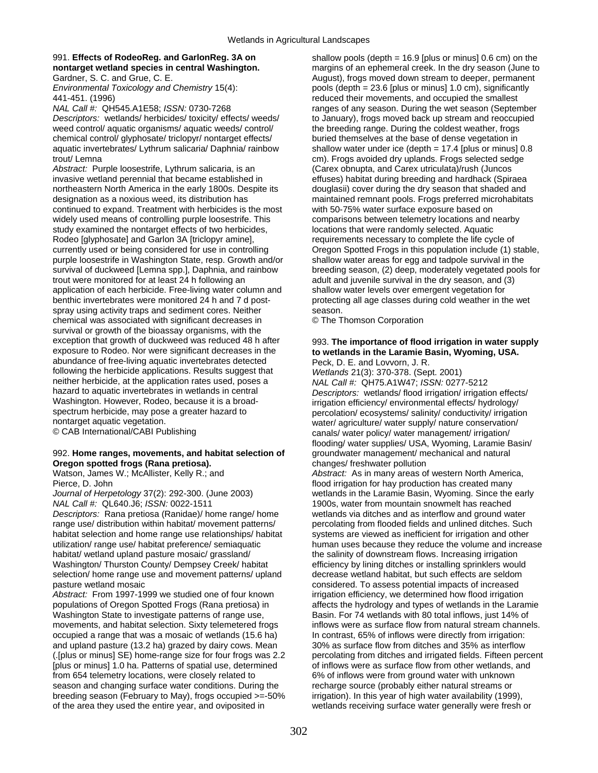# 991. **Effects of RodeoReg. and GarlonReg. 3A on nontarget wetland species in central Washington.**

Gardner, S. C. and Grue, C. E. *Environmental Toxicology and Chemistry* 15(4): 441-451. (1996)

*NAL Call #:* QH545.A1E58; *ISSN:* 0730-7268 *Descriptors:* wetlands/ herbicides/ toxicity/ effects/ weeds/ weed control/ aquatic organisms/ aquatic weeds/ control/ chemical control/ glyphosate/ triclopyr/ nontarget effects/ aquatic invertebrates/ Lythrum salicaria/ Daphnia/ rainbow trout/ Lemna

*Abstract:* Purple loosestrife, Lythrum salicaria, is an invasive wetland perennial that became established in northeastern North America in the early 1800s. Despite its designation as a noxious weed, its distribution has continued to expand. Treatment with herbicides is the most widely used means of controlling purple loosestrife. This study examined the nontarget effects of two herbicides, Rodeo [glyphosate] and Garlon 3A [triclopyr amine], currently used or being considered for use in controlling purple loosestrife in Washington State, resp. Growth and/or survival of duckweed [Lemna spp.], Daphnia, and rainbow trout were monitored for at least 24 h following an application of each herbicide. Free-living water column and benthic invertebrates were monitored 24 h and 7 d postspray using activity traps and sediment cores. Neither chemical was associated with significant decreases in survival or growth of the bioassay organisms, with the exception that growth of duckweed was reduced 48 h after exposure to Rodeo. Nor were significant decreases in the abundance of free-living aquatic invertebrates detected following the herbicide applications. Results suggest that neither herbicide, at the application rates used, poses a hazard to aquatic invertebrates in wetlands in central Washington. However, Rodeo, because it is a broadspectrum herbicide, may pose a greater hazard to nontarget aquatic vegetation. © CAB International/CABI Publishing

# 992. **Home ranges, movements, and habitat selection of Oregon spotted frogs (Rana pretiosa).**

Watson, James W.; McAllister, Kelly R.; and Pierce, D. John

*Journal of Herpetology* 37(2): 292-300. (June 2003) *NAL Call #:* QL640.J6; *ISSN:* 0022-1511

*Descriptors:* Rana pretiosa (Ranidae)/ home range/ home range use/ distribution within habitat/ movement patterns/ habitat selection and home range use relationships/ habitat utilization/ range use/ habitat preference/ semiaquatic habitat/ wetland upland pasture mosaic/ grassland/ Washington/ Thurston County/ Dempsey Creek/ habitat selection/ home range use and movement patterns/ upland pasture wetland mosaic

*Abstract:* From 1997-1999 we studied one of four known populations of Oregon Spotted Frogs (Rana pretiosa) in Washington State to investigate patterns of range use, movements, and habitat selection. Sixty telemetered frogs occupied a range that was a mosaic of wetlands (15.6 ha) and upland pasture (13.2 ha) grazed by dairy cows. Mean (.[plus or minus] SE) home-range size for four frogs was 2.2 [plus or minus] 1.0 ha. Patterns of spatial use, determined from 654 telemetry locations, were closely related to season and changing surface water conditions. During the breeding season (February to May), frogs occupied >=-50% of the area they used the entire year, and oviposited in

shallow pools (depth  $= 16.9$  [plus or minus] 0.6 cm) on the margins of an ephemeral creek. In the dry season (June to August), frogs moved down stream to deeper, permanent pools (depth = 23.6 [plus or minus] 1.0 cm), significantly reduced their movements, and occupied the smallest ranges of any season. During the wet season (September to January), frogs moved back up stream and reoccupied the breeding range. During the coldest weather, frogs buried themselves at the base of dense vegetation in shallow water under ice (depth = 17.4 [plus or minus] 0.8 cm). Frogs avoided dry uplands. Frogs selected sedge (Carex obnupta, and Carex utriculata)/rush (Juncos effuses) habitat during breeding and hardhack (Spiraea douglasii) cover during the dry season that shaded and maintained remnant pools. Frogs preferred microhabitats with 50-75% water surface exposure based on comparisons between telemetry locations and nearby locations that were randomly selected. Aquatic requirements necessary to complete the life cycle of Oregon Spotted Frogs in this population include (1) stable, shallow water areas for egg and tadpole survival in the breeding season, (2) deep, moderately vegetated pools for adult and juvenile survival in the dry season, and (3) shallow water levels over emergent vegetation for protecting all age classes during cold weather in the wet season.

© The Thomson Corporation

# 993. **The importance of flood irrigation in water supply to wetlands in the Laramie Basin, Wyoming, USA.**

Peck, D. E. and Lovvorn, J. R. *Wetlands* 21(3): 370-378. (Sept. 2001) *NAL Call #:* QH75.A1W47; *ISSN:* 0277-5212 *Descriptors:* wetlands/ flood irrigation/ irrigation effects/ irrigation efficiency/ environmental effects/ hydrology/ percolation/ ecosystems/ salinity/ conductivity/ irrigation water/ agriculture/ water supply/ nature conservation/ canals/ water policy/ water management/ irrigation/ flooding/ water supplies/ USA, Wyoming, Laramie Basin/ groundwater management/ mechanical and natural changes/ freshwater pollution

*Abstract:* As in many areas of western North America, flood irrigation for hay production has created many wetlands in the Laramie Basin, Wyoming. Since the early 1900s, water from mountain snowmelt has reached wetlands via ditches and as interflow and ground water percolating from flooded fields and unlined ditches. Such systems are viewed as inefficient for irrigation and other human uses because they reduce the volume and increase the salinity of downstream flows. Increasing irrigation efficiency by lining ditches or installing sprinklers would decrease wetland habitat, but such effects are seldom considered. To assess potential impacts of increased irrigation efficiency, we determined how flood irrigation affects the hydrology and types of wetlands in the Laramie Basin. For 74 wetlands with 80 total inflows, just 14% of inflows were as surface flow from natural stream channels. In contrast, 65% of inflows were directly from irrigation: 30% as surface flow from ditches and 35% as interflow percolating from ditches and irrigated fields. Fifteen percent of inflows were as surface flow from other wetlands, and 6% of inflows were from ground water with unknown recharge source (probably either natural streams or irrigation). In this year of high water availability (1999), wetlands receiving surface water generally were fresh or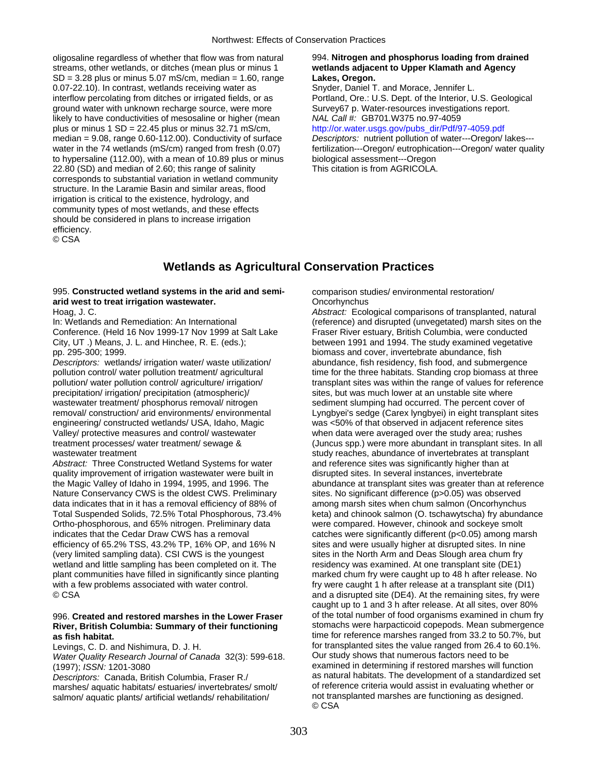oligosaline regardless of whether that flow was from natural streams, other wetlands, or ditches (mean plus or minus 1  $SD = 3.28$  plus or minus  $5.07$  mS/cm, median  $= 1.60$ , range 0.07-22.10). In contrast, wetlands receiving water as interflow percolating from ditches or irrigated fields, or as ground water with unknown recharge source, were more likely to have conductivities of mesosaline or higher (mean plus or minus  $1 SD = 22.45$  plus or minus  $32.71$  mS/cm, median = 9.08, range 0.60-112.00). Conductivity of surface water in the 74 wetlands (mS/cm) ranged from fresh (0.07) to hypersaline (112.00), with a mean of 10.89 plus or minus 22.80 (SD) and median of 2.60; this range of salinity corresponds to substantial variation in wetland community structure. In the Laramie Basin and similar areas, flood irrigation is critical to the existence, hydrology, and community types of most wetlands, and these effects should be considered in plans to increase irrigation efficiency. © CSA

## 994. **Nitrogen and phosphorus loading from drained wetlands adjacent to Upper Klamath and Agency Lakes, Oregon.**

Snyder, Daniel T. and Morace, Jennifer L. Portland, Ore.: U.S. Dept. of the Interior, U.S. Geological Survey67 p. Water-resources investigations report. *NAL Call #:* GB701.W375 no.97-4059 [http://or.water.usgs.gov/pubs\\_dir/Pdf/97-4059.pdf](http://or.water.usgs.gov/pubs_dir/Pdf/97-4059.pdf)  *Descriptors:* nutrient pollution of water---Oregon/ lakes-- fertilization---Oregon/ eutrophication---Oregon/ water quality biological assessment---Oregon This citation is from AGRICOLA.

# **Wetlands as Agricultural Conservation Practices**

# 995. **Constructed wetland systems in the arid and semiarid west to treat irrigation wastewater.**

Hoag, J. C.

In: Wetlands and Remediation: An International Conference. (Held 16 Nov 1999-17 Nov 1999 at Salt Lake City, UT .) Means, J. L. and Hinchee, R. E. (eds.); pp. 295-300; 1999.

*Descriptors:* wetlands/ irrigation water/ waste utilization/ pollution control/ water pollution treatment/ agricultural pollution/ water pollution control/ agriculture/ irrigation/ precipitation/ irrigation/ precipitation (atmospheric)/ wastewater treatment/ phosphorus removal/ nitrogen removal/ construction/ arid environments/ environmental engineering/ constructed wetlands/ USA, Idaho, Magic Valley/ protective measures and control/ wastewater treatment processes/ water treatment/ sewage & wastewater treatment

*Abstract:* Three Constructed Wetland Systems for water quality improvement of irrigation wastewater were built in the Magic Valley of Idaho in 1994, 1995, and 1996. The Nature Conservancy CWS is the oldest CWS. Preliminary data indicates that in it has a removal efficiency of 88% of Total Suspended Solids, 72.5% Total Phosphorous, 73.4% Ortho-phosphorous, and 65% nitrogen. Preliminary data indicates that the Cedar Draw CWS has a removal efficiency of 65.2% TSS, 43.2% TP, 16% OP, and 16% N (very limited sampling data). CSI CWS is the youngest wetland and little sampling has been completed on it. The plant communities have filled in significantly since planting with a few problems associated with water control. © CSA

## 996. **Created and restored marshes in the Lower Fraser River, British Columbia: Summary of their functioning as fish habitat.**

Levings, C. D. and Nishimura, D. J. H.

*Water Quality Research Journal of Canada* 32(3): 599-618. (1997); *ISSN:* 1201-3080

*Descriptors:* Canada, British Columbia, Fraser R./ marshes/ aquatic habitats/ estuaries/ invertebrates/ smolt/ salmon/ aquatic plants/ artificial wetlands/ rehabilitation/

comparison studies/ environmental restoration/ **Oncorhynchus** 

*Abstract:* Ecological comparisons of transplanted, natural (reference) and disrupted (unvegetated) marsh sites on the Fraser River estuary, British Columbia, were conducted between 1991 and 1994. The study examined vegetative biomass and cover, invertebrate abundance, fish abundance, fish residency, fish food, and submergence time for the three habitats. Standing crop biomass at three transplant sites was within the range of values for reference sites, but was much lower at an unstable site where sediment slumping had occurred. The percent cover of Lyngbyei's sedge (Carex lyngbyei) in eight transplant sites was <50% of that observed in adjacent reference sites when data were averaged over the study area; rushes (Juncus spp.) were more abundant in transplant sites. In all study reaches, abundance of invertebrates at transplant and reference sites was significantly higher than at disrupted sites. In several instances, invertebrate abundance at transplant sites was greater than at reference sites. No significant difference (p>0.05) was observed among marsh sites when chum salmon (Oncorhynchus keta) and chinook salmon (O. tschawytscha) fry abundance were compared. However, chinook and sockeye smolt catches were significantly different (p<0.05) among marsh sites and were usually higher at disrupted sites. In nine sites in the North Arm and Deas Slough area chum fry residency was examined. At one transplant site (DE1) marked chum fry were caught up to 48 h after release. No fry were caught 1 h after release at a transplant site (DI1) and a disrupted site (DE4). At the remaining sites, fry were caught up to 1 and 3 h after release. At all sites, over 80% of the total number of food organisms examined in chum fry stomachs were harpacticoid copepods. Mean submergence time for reference marshes ranged from 33.2 to 50.7%, but for transplanted sites the value ranged from 26.4 to 60.1%. Our study shows that numerous factors need to be examined in determining if restored marshes will function as natural habitats. The development of a standardized set of reference criteria would assist in evaluating whether or not transplanted marshes are functioning as designed. © CSA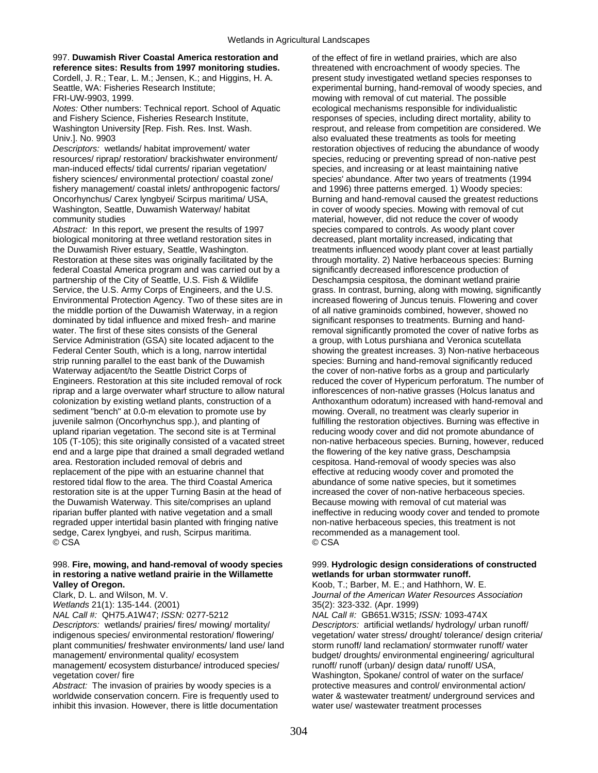# 997. **Duwamish River Coastal America restoration and reference sites: Results from 1997 monitoring studies.**

Cordell, J. R.; Tear, L. M.; Jensen, K.; and Higgins, H. A. Seattle, WA: Fisheries Research Institute; FRI-UW-9903, 1999.

*Notes:* Other numbers: Technical report. School of Aquatic and Fishery Science, Fisheries Research Institute, Washington University [Rep. Fish. Res. Inst. Wash. Univ.]. No. 9903

*Descriptors:* wetlands/ habitat improvement/ water resources/ riprap/ restoration/ brackishwater environment/ man-induced effects/ tidal currents/ riparian vegetation/ fishery sciences/ environmental protection/ coastal zone/ fishery management/ coastal inlets/ anthropogenic factors/ Oncorhynchus/ Carex lyngbyei/ Scirpus maritima/ USA, Washington, Seattle, Duwamish Waterway/ habitat community studies

*Abstract:* In this report, we present the results of 1997 biological monitoring at three wetland restoration sites in the Duwamish River estuary, Seattle, Washington. Restoration at these sites was originally facilitated by the federal Coastal America program and was carried out by a partnership of the City of Seattle, U.S. Fish & Wildlife Service, the U.S. Army Corps of Engineers, and the U.S. Environmental Protection Agency. Two of these sites are in the middle portion of the Duwamish Waterway, in a region dominated by tidal influence and mixed fresh- and marine water. The first of these sites consists of the General Service Administration (GSA) site located adjacent to the Federal Center South, which is a long, narrow intertidal strip running parallel to the east bank of the Duwamish Waterway adjacent/to the Seattle District Corps of Engineers. Restoration at this site included removal of rock riprap and a large overwater wharf structure to allow natural colonization by existing wetland plants, construction of a sediment "bench" at 0.0-m elevation to promote use by juvenile salmon (Oncorhynchus spp.), and planting of upland riparian vegetation. The second site is at Terminal 105 (T-105); this site originally consisted of a vacated street end and a large pipe that drained a small degraded wetland area. Restoration included removal of debris and replacement of the pipe with an estuarine channel that restored tidal flow to the area. The third Coastal America restoration site is at the upper Turning Basin at the head of the Duwamish Waterway. This site/comprises an upland riparian buffer planted with native vegetation and a small regraded upper intertidal basin planted with fringing native sedge, Carex lyngbyei, and rush, Scirpus maritima. © CSA

#### 998. **Fire, mowing, and hand-removal of woody species in restoring a native wetland prairie in the Willamette Valley of Oregon.**

Clark, D. L. and Wilson, M. V.

*Wetlands* 21(1): 135-144. (2001) *NAL Call #:* QH75.A1W47; *ISSN:* 0277-5212

*Descriptors:* wetlands/ prairies/ fires/ mowing/ mortality/ indigenous species/ environmental restoration/ flowering/ plant communities/ freshwater environments/ land use/ land management/ environmental quality/ ecosystem management/ ecosystem disturbance/ introduced species/ vegetation cover/ fire

*Abstract:* The invasion of prairies by woody species is a worldwide conservation concern. Fire is frequently used to inhibit this invasion. However, there is little documentation

of the effect of fire in wetland prairies, which are also threatened with encroachment of woody species. The present study investigated wetland species responses to experimental burning, hand-removal of woody species, and mowing with removal of cut material. The possible ecological mechanisms responsible for individualistic responses of species, including direct mortality, ability to resprout, and release from competition are considered. We also evaluated these treatments as tools for meeting restoration objectives of reducing the abundance of woody species, reducing or preventing spread of non-native pest species, and increasing or at least maintaining native species' abundance. After two years of treatments (1994 and 1996) three patterns emerged. 1) Woody species: Burning and hand-removal caused the greatest reductions in cover of woody species. Mowing with removal of cut material, however, did not reduce the cover of woody species compared to controls. As woody plant cover decreased, plant mortality increased, indicating that treatments influenced woody plant cover at least partially through mortality. 2) Native herbaceous species: Burning significantly decreased inflorescence production of Deschampsia cespitosa, the dominant wetland prairie grass. In contrast, burning, along with mowing, significantly increased flowering of Juncus tenuis. Flowering and cover of all native graminoids combined, however, showed no significant responses to treatments. Burning and handremoval significantly promoted the cover of native forbs as a group, with Lotus purshiana and Veronica scutellata showing the greatest increases. 3) Non-native herbaceous species: Burning and hand-removal significantly reduced the cover of non-native forbs as a group and particularly reduced the cover of Hypericum perforatum. The number of inflorescences of non-native grasses (Holcus lanatus and Anthoxanthum odoratum) increased with hand-removal and mowing. Overall, no treatment was clearly superior in fulfilling the restoration objectives. Burning was effective in reducing woody cover and did not promote abundance of non-native herbaceous species. Burning, however, reduced the flowering of the key native grass, Deschampsia cespitosa. Hand-removal of woody species was also effective at reducing woody cover and promoted the abundance of some native species, but it sometimes increased the cover of non-native herbaceous species. Because mowing with removal of cut material was ineffective in reducing woody cover and tended to promote non-native herbaceous species, this treatment is not recommended as a management tool. © CSA

## 999. **Hydrologic design considerations of constructed wetlands for urban stormwater runoff.**

Koob, T.; Barber, M. E.; and Hathhorn, W. E. *Journal of the American Water Resources Association* 35(2): 323-332. (Apr. 1999) *NAL Call #:* GB651.W315; *ISSN:* 1093-474X

*Descriptors:* artificial wetlands/ hydrology/ urban runoff/ vegetation/ water stress/ drought/ tolerance/ design criteria/ storm runoff/ land reclamation/ stormwater runoff/ water budget/ droughts/ environmental engineering/ agricultural runoff/ runoff (urban)/ design data/ runoff/ USA, Washington, Spokane/ control of water on the surface/ protective measures and control/ environmental action/ water & wastewater treatment/ underground services and water use/ wastewater treatment processes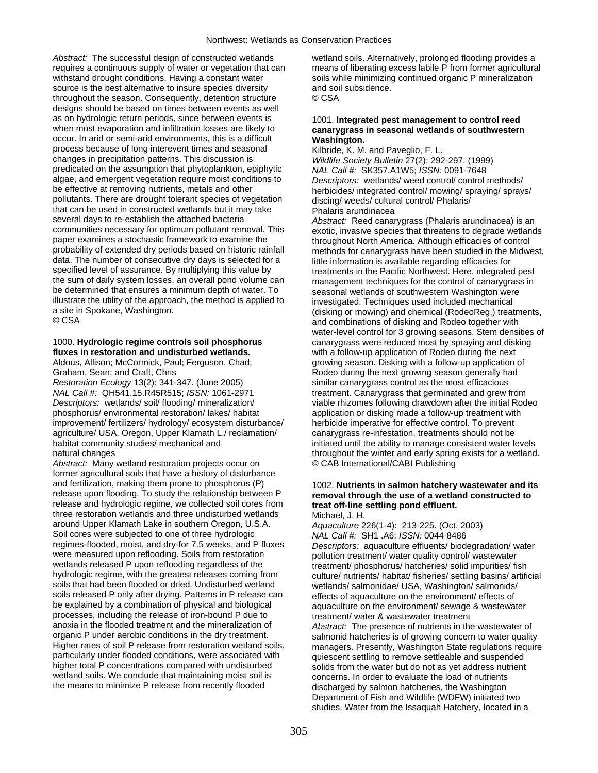*Abstract:* The successful design of constructed wetlands requires a continuous supply of water or vegetation that can withstand drought conditions. Having a constant water source is the best alternative to insure species diversity throughout the season. Consequently, detention structure designs should be based on times between events as well as on hydrologic return periods, since between events is when most evaporation and infiltration losses are likely to occur. In arid or semi-arid environments, this is a difficult process because of long interevent times and seasonal changes in precipitation patterns. This discussion is predicated on the assumption that phytoplankton, epiphytic algae, and emergent vegetation require moist conditions to be effective at removing nutrients, metals and other pollutants. There are drought tolerant species of vegetation that can be used in constructed wetlands but it may take several days to re-establish the attached bacteria communities necessary for optimum pollutant removal. This paper examines a stochastic framework to examine the probability of extended dry periods based on historic rainfall data. The number of consecutive dry days is selected for a specified level of assurance. By multiplying this value by the sum of daily system losses, an overall pond volume can be determined that ensures a minimum depth of water. To illustrate the utility of the approach, the method is applied to a site in Spokane, Washington. © CSA

# 1000. **Hydrologic regime controls soil phosphorus fluxes in restoration and undisturbed wetlands.**

Aldous, Allison; McCormick, Paul; Ferguson, Chad; Graham, Sean; and Craft, Chris

*Restoration Ecology* 13(2): 341-347. (June 2005) *NAL Call #:* QH541.15.R45R515; *ISSN:* 1061-2971 *Descriptors:* wetlands/ soil/ flooding/ mineralization/ phosphorus/ environmental restoration/ lakes/ habitat improvement/ fertilizers/ hydrology/ ecosystem disturbance/ agriculture/ USA, Oregon, Upper Klamath L./ reclamation/ habitat community studies/ mechanical and natural changes

*Abstract:* Many wetland restoration projects occur on former agricultural soils that have a history of disturbance and fertilization, making them prone to phosphorus (P) release upon flooding. To study the relationship between P release and hydrologic regime, we collected soil cores from three restoration wetlands and three undisturbed wetlands around Upper Klamath Lake in southern Oregon, U.S.A. Soil cores were subjected to one of three hydrologic regimes-flooded, moist, and dry-for 7.5 weeks, and P fluxes were measured upon reflooding. Soils from restoration wetlands released P upon reflooding regardless of the hydrologic regime, with the greatest releases coming from soils that had been flooded or dried. Undisturbed wetland soils released P only after drying. Patterns in P release can be explained by a combination of physical and biological processes, including the release of iron-bound P due to anoxia in the flooded treatment and the mineralization of organic P under aerobic conditions in the dry treatment. Higher rates of soil P release from restoration wetland soils, particularly under flooded conditions, were associated with higher total P concentrations compared with undisturbed wetland soils. We conclude that maintaining moist soil is the means to minimize P release from recently flooded

wetland soils. Alternatively, prolonged flooding provides a means of liberating excess labile P from former agricultural soils while minimizing continued organic P mineralization and soil subsidence. © CSA

## 1001. **Integrated pest management to control reed canarygrass in seasonal wetlands of southwestern Washington.**

Kilbride, K. M. and Paveglio, F. L. *Wildlife Society Bulletin* 27(2): 292-297. (1999) *NAL Call #:* SK357.A1W5; *ISSN:* 0091-7648 *Descriptors:* wetlands/ weed control/ control methods/ herbicides/ integrated control/ mowing/ spraying/ sprays/ discing/ weeds/ cultural control/ Phalaris/ Phalaris arundinacea

*Abstract:* Reed canarygrass (Phalaris arundinacea) is an exotic, invasive species that threatens to degrade wetlands throughout North America. Although efficacies of control methods for canarygrass have been studied in the Midwest, little information is available regarding efficacies for treatments in the Pacific Northwest. Here, integrated pest management techniques for the control of canarygrass in seasonal wetlands of southwestern Washington were investigated. Techniques used included mechanical (disking or mowing) and chemical (RodeoReg.) treatments, and combinations of disking and Rodeo together with water-level control for 3 growing seasons. Stem densities of canarygrass were reduced most by spraying and disking with a follow-up application of Rodeo during the next growing season. Disking with a follow-up application of Rodeo during the next growing season generally had similar canarygrass control as the most efficacious treatment. Canarygrass that germinated and grew from viable rhizomes following drawdown after the initial Rodeo application or disking made a follow-up treatment with herbicide imperative for effective control. To prevent canarygrass re-infestation, treatments should not be initiated until the ability to manage consistent water levels throughout the winter and early spring exists for a wetland. © CAB International/CABI Publishing

#### 1002. **Nutrients in salmon hatchery wastewater and its removal through the use of a wetland constructed to treat off-line settling pond effluent.**  Michael, J. H.

*Aquaculture* 226(1-4): 213-225. (Oct. 2003) *NAL Call #:* SH1 .A6; *ISSN:* 0044-8486 *Descriptors:* aquaculture effluents/ biodegradation/ water pollution treatment/ water quality control/ wastewater treatment/ phosphorus/ hatcheries/ solid impurities/ fish culture/ nutrients/ habitat/ fisheries/ settling basins/ artificial wetlands/ salmonidae/ USA, Washington/ salmonids/ effects of aquaculture on the environment/ effects of aquaculture on the environment/ sewage & wastewater treatment/ water & wastewater treatment *Abstract:* The presence of nutrients in the wastewater of salmonid hatcheries is of growing concern to water quality managers. Presently, Washington State regulations require quiescent settling to remove settleable and suspended solids from the water but do not as yet address nutrient concerns. In order to evaluate the load of nutrients discharged by salmon hatcheries, the Washington Department of Fish and Wildlife (WDFW) initiated two studies. Water from the Issaquah Hatchery, located in a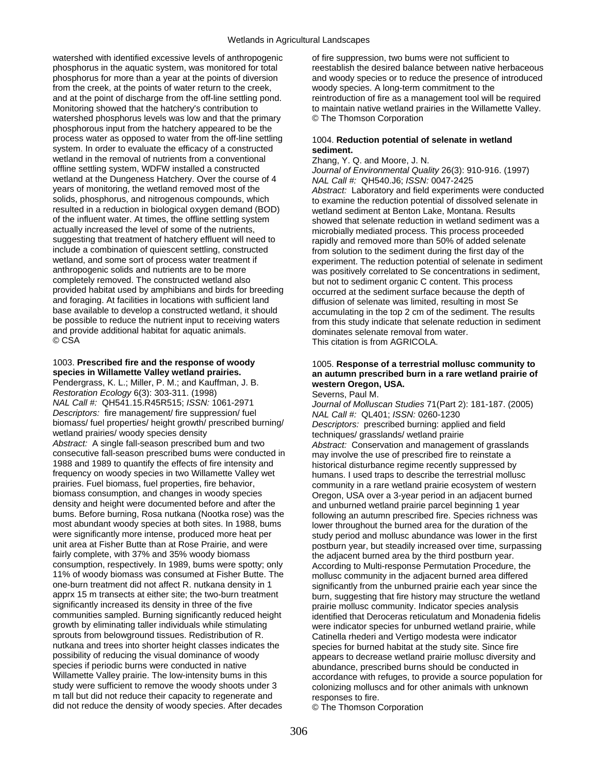watershed with identified excessive levels of anthropogenic phosphorus in the aquatic system, was monitored for total phosphorus for more than a year at the points of diversion from the creek, at the points of water return to the creek, and at the point of discharge from the off-line settling pond. Monitoring showed that the hatchery's contribution to watershed phosphorus levels was low and that the primary phosphorous input from the hatchery appeared to be the process water as opposed to water from the off-line settling system. In order to evaluate the efficacy of a constructed wetland in the removal of nutrients from a conventional offline settling system, WDFW installed a constructed wetland at the Dungeness Hatchery. Over the course of 4 years of monitoring, the wetland removed most of the solids, phosphorus, and nitrogenous compounds, which resulted in a reduction in biological oxygen demand (BOD) of the influent water. At times, the offline settling system actually increased the level of some of the nutrients, suggesting that treatment of hatchery effluent will need to include a combination of quiescent settling, constructed wetland, and some sort of process water treatment if anthropogenic solids and nutrients are to be more completely removed. The constructed wetland also provided habitat used by amphibians and birds for breeding and foraging. At facilities in locations with sufficient land base available to develop a constructed wetland, it should be possible to reduce the nutrient input to receiving waters and provide additional habitat for aquatic animals. © CSA

## 1003. **Prescribed fire and the response of woody species in Willamette Valley wetland prairies.**

Pendergrass, K. L.; Miller, P. M.; and Kauffman, J. B. *Restoration Ecology* 6(3): 303-311. (1998) *NAL Call #:* QH541.15.R45R515; *ISSN:* 1061-2971 *Descriptors:* fire management/ fire suppression/ fuel biomass/ fuel properties/ height growth/ prescribed burning/ wetland prairies/ woody species density *Abstract:* A single fall-season prescribed bum and two consecutive fall-season prescribed bums were conducted in 1988 and 1989 to quantify the effects of fire intensity and frequency on woody species in two Willamette Valley wet prairies. Fuel biomass, fuel properties, fire behavior, biomass consumption, and changes in woody species density and height were documented before and after the bums. Before burning, Rosa nutkana (Nootka rose) was the most abundant woody species at both sites. In 1988, bums were significantly more intense, produced more heat per unit area at Fisher Butte than at Rose Prairie, and were fairly complete, with 37% and 35% woody biomass consumption, respectively. In 1989, bums were spotty; only 11% of woody biomass was consumed at Fisher Butte. The one-burn treatment did not affect R. nutkana density in 1 apprx 15 m transects at either site; the two-burn treatment significantly increased its density in three of the five communities sampled. Burning significantly reduced height growth by eliminating taller individuals while stimulating sprouts from belowground tissues. Redistribution of R. nutkana and trees into shorter height classes indicates the possibility of reducing the visual dominance of woody species if periodic burns were conducted in native Willamette Valley prairie. The low-intensity bums in this study were sufficient to remove the woody shoots under 3 m tall but did not reduce their capacity to regenerate and did not reduce the density of woody species. After decades

of fire suppression, two bums were not sufficient to reestablish the desired balance between native herbaceous and woody species or to reduce the presence of introduced woody species. A long-term commitment to the reintroduction of fire as a management tool will be required to maintain native wetland prairies in the Willamette Valley. © The Thomson Corporation

# 1004. **Reduction potential of selenate in wetland sediment.**

Zhang, Y. Q. and Moore, J. N. *Journal of Environmental Quality* 26(3): 910-916. (1997) *NAL Call #:* QH540.J6; *ISSN:* 0047-2425 *Abstract:* Laboratory and field experiments were conducted to examine the reduction potential of dissolved selenate in wetland sediment at Benton Lake, Montana. Results showed that selenate reduction in wetland sediment was a microbially mediated process. This process proceeded rapidly and removed more than 50% of added selenate from solution to the sediment during the first day of the experiment. The reduction potential of selenate in sediment was positively correlated to Se concentrations in sediment, but not to sediment organic C content. This process occurred at the sediment surface because the depth of diffusion of selenate was limited, resulting in most Se accumulating in the top 2 cm of the sediment. The results from this study indicate that selenate reduction in sediment dominates selenate removal from water. This citation is from AGRICOLA.

#### 1005. **Response of a terrestrial mollusc community to an autumn prescribed burn in a rare wetland prairie of western Oregon, USA.**  Severns, Paul M.

*Journal of Molluscan Studies* 71(Part 2): 181-187. (2005) *NAL Call #:* QL401; *ISSN:* 0260-1230 *Descriptors:* prescribed burning: applied and field techniques/ grasslands/ wetland prairie *Abstract:* Conservation and management of grasslands may involve the use of prescribed fire to reinstate a historical disturbance regime recently suppressed by humans. I used traps to describe the terrestrial mollusc community in a rare wetland prairie ecosystem of western Oregon, USA over a 3-year period in an adjacent burned and unburned wetland prairie parcel beginning 1 year following an autumn prescribed fire. Species richness was lower throughout the burned area for the duration of the study period and mollusc abundance was lower in the first postburn year, but steadily increased over time, surpassing the adjacent burned area by the third postburn year. According to Multi-response Permutation Procedure, the mollusc community in the adjacent burned area differed significantly from the unburned prairie each year since the burn, suggesting that fire history may structure the wetland prairie mollusc community. Indicator species analysis identified that Deroceras reticulatum and Monadenia fidelis were indicator species for unburned wetland prairie, while Catinella rhederi and Vertigo modesta were indicator species for burned habitat at the study site. Since fire appears to decrease wetland prairie mollusc diversity and abundance, prescribed burns should be conducted in accordance with refuges, to provide a source population for colonizing molluscs and for other animals with unknown responses to fire.

© The Thomson Corporation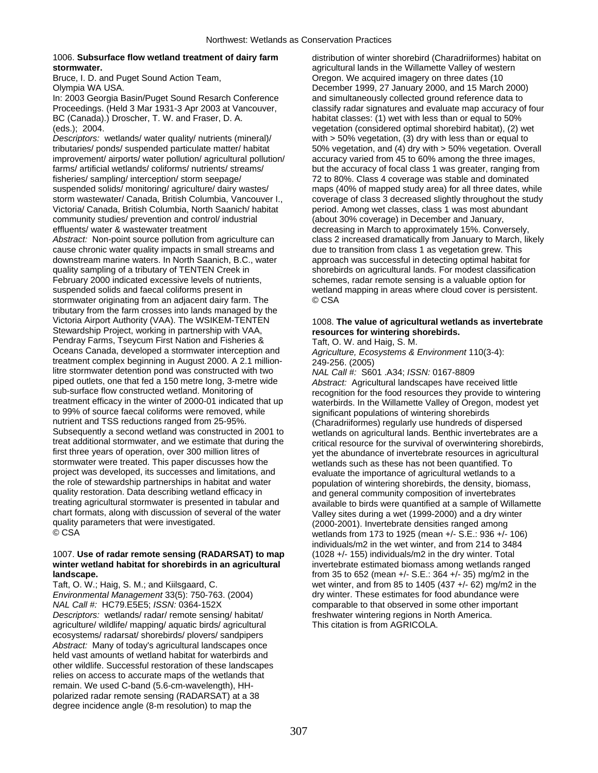## 1006. **Subsurface flow wetland treatment of dairy farm stormwater.**

Bruce, I. D. and Puget Sound Action Team, Olympia WA USA.

In: 2003 Georgia Basin/Puget Sound Resarch Conference Proceedings. (Held 3 Mar 1931-3 Apr 2003 at Vancouver, BC (Canada).) Droscher, T. W. and Fraser, D. A. (eds.); 2004.

*Descriptors:* wetlands/ water quality/ nutrients (mineral)/ tributaries/ ponds/ suspended particulate matter/ habitat improvement/ airports/ water pollution/ agricultural pollution/ farms/ artificial wetlands/ coliforms/ nutrients/ streams/ fisheries/ sampling/ interception/ storm seepage/ suspended solids/ monitoring/ agriculture/ dairy wastes/ storm wastewater/ Canada, British Columbia, Vancouver I., Victoria/ Canada, British Columbia, North Saanich/ habitat community studies/ prevention and control/ industrial effluents/ water & wastewater treatment *Abstract:* Non-point source pollution from agriculture can cause chronic water quality impacts in small streams and downstream marine waters. In North Saanich, B.C., water quality sampling of a tributary of TENTEN Creek in February 2000 indicated excessive levels of nutrients, suspended solids and faecal coliforms present in stormwater originating from an adjacent dairy farm. The tributary from the farm crosses into lands managed by the Victoria Airport Authority (VAA). The WSIKEM-TENTEN Stewardship Project, working in partnership with VAA, Pendray Farms, Tseycum First Nation and Fisheries & Oceans Canada, developed a stormwater interception and treatment complex beginning in August 2000. A 2.1 millionlitre stormwater detention pond was constructed with two piped outlets, one that fed a 150 metre long, 3-metre wide sub-surface flow constructed wetland. Monitoring of treatment efficacy in the winter of 2000-01 indicated that up to 99% of source faecal coliforms were removed, while nutrient and TSS reductions ranged from 25-95%. Subsequently a second wetland was constructed in 2001 to treat additional stormwater, and we estimate that during the first three years of operation, over 300 million litres of stormwater were treated. This paper discusses how the project was developed, its successes and limitations, and the role of stewardship partnerships in habitat and water quality restoration. Data describing wetland efficacy in treating agricultural stormwater is presented in tabular and chart formats, along with discussion of several of the water quality parameters that were investigated. © CSA

# 1007. **Use of radar remote sensing (RADARSAT) to map winter wetland habitat for shorebirds in an agricultural landscape.**

Taft, O. W.; Haig, S. M.; and Kiilsgaard, C. *Environmental Management* 33(5): 750-763. (2004) *NAL Call #:* HC79.E5E5; *ISSN:* 0364-152X *Descriptors:* wetlands/ radar/ remote sensing/ habitat/ agriculture/ wildlife/ mapping/ aquatic birds/ agricultural ecosystems/ radarsat/ shorebirds/ plovers/ sandpipers *Abstract:* Many of today's agricultural landscapes once held vast amounts of wetland habitat for waterbirds and other wildlife. Successful restoration of these landscapes relies on access to accurate maps of the wetlands that remain. We used C-band (5.6-cm-wavelength), HHpolarized radar remote sensing (RADARSAT) at a 38 degree incidence angle (8-m resolution) to map the

distribution of winter shorebird (Charadriiformes) habitat on agricultural lands in the Willamette Valley of western Oregon. We acquired imagery on three dates (10 December 1999, 27 January 2000, and 15 March 2000) and simultaneously collected ground reference data to classify radar signatures and evaluate map accuracy of four habitat classes: (1) wet with less than or equal to 50% vegetation (considered optimal shorebird habitat), (2) wet with > 50% vegetation, (3) dry with less than or equal to 50% vegetation, and (4) dry with > 50% vegetation. Overall accuracy varied from 45 to 60% among the three images, but the accuracy of focal class 1 was greater, ranging from 72 to 80%. Class 4 coverage was stable and dominated maps (40% of mapped study area) for all three dates, while coverage of class 3 decreased slightly throughout the study period. Among wet classes, class 1 was most abundant (about 30% coverage) in December and January, decreasing in March to approximately 15%. Conversely, class 2 increased dramatically from January to March, likely due to transition from class 1 as vegetation grew. This approach was successful in detecting optimal habitat for shorebirds on agricultural lands. For modest classification schemes, radar remote sensing is a valuable option for wetland mapping in areas where cloud cover is persistent. © CSA

# 1008. **The value of agricultural wetlands as invertebrate resources for wintering shorebirds.**

Taft, O. W. and Haig, S. M.

*Agriculture, Ecosystems & Environment* 110(3-4): 249-256. (2005)

*NAL Call #:* S601 .A34; *ISSN:* 0167-8809 *Abstract:* Agricultural landscapes have received little recognition for the food resources they provide to wintering waterbirds. In the Willamette Valley of Oregon, modest yet significant populations of wintering shorebirds (Charadriiformes) regularly use hundreds of dispersed wetlands on agricultural lands. Benthic invertebrates are a critical resource for the survival of overwintering shorebirds, yet the abundance of invertebrate resources in agricultural wetlands such as these has not been quantified. To evaluate the importance of agricultural wetlands to a population of wintering shorebirds, the density, biomass, and general community composition of invertebrates available to birds were quantified at a sample of Willamette Valley sites during a wet (1999-2000) and a dry winter (2000-2001). Invertebrate densities ranged among wetlands from 173 to 1925 (mean +/- S.E.: 936 +/- 106) individuals/m2 in the wet winter, and from 214 to 3484 (1028 +/- 155) individuals/m2 in the dry winter. Total invertebrate estimated biomass among wetlands ranged from 35 to 652 (mean +/- S.E.: 364 +/- 35) mg/m2 in the wet winter, and from 85 to 1405 (437 +/- 62) mg/m2 in the dry winter. These estimates for food abundance were comparable to that observed in some other important freshwater wintering regions in North America. This citation is from AGRICOLA.